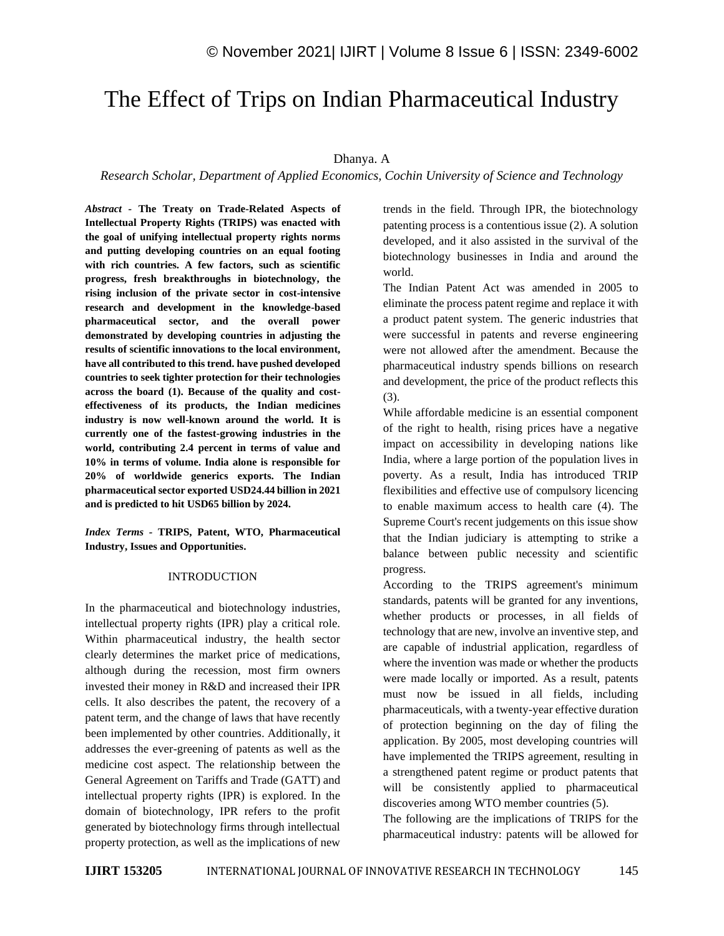# The Effect of Trips on Indian Pharmaceutical Industry

## Dhanya. A

*Research Scholar, Department of Applied Economics, Cochin University of Science and Technology*

*Abstract -* **The Treaty on Trade-Related Aspects of Intellectual Property Rights (TRIPS) was enacted with the goal of unifying intellectual property rights norms and putting developing countries on an equal footing with rich countries. A few factors, such as scientific progress, fresh breakthroughs in biotechnology, the rising inclusion of the private sector in cost-intensive research and development in the knowledge-based pharmaceutical sector, and the overall power demonstrated by developing countries in adjusting the results of scientific innovations to the local environment, have all contributed to this trend. have pushed developed countries to seek tighter protection for their technologies across the board (1). Because of the quality and costeffectiveness of its products, the Indian medicines industry is now well-known around the world. It is currently one of the fastest-growing industries in the world, contributing 2.4 percent in terms of value and 10% in terms of volume. India alone is responsible for 20% of worldwide generics exports. The Indian pharmaceutical sector exported USD24.44 billion in 2021 and is predicted to hit USD65 billion by 2024.**

*Index Terms -* **TRIPS, Patent, WTO, Pharmaceutical Industry, Issues and Opportunities.**

#### INTRODUCTION

In the pharmaceutical and biotechnology industries, intellectual property rights (IPR) play a critical role. Within pharmaceutical industry, the health sector clearly determines the market price of medications, although during the recession, most firm owners invested their money in R&D and increased their IPR cells. It also describes the patent, the recovery of a patent term, and the change of laws that have recently been implemented by other countries. Additionally, it addresses the ever-greening of patents as well as the medicine cost aspect. The relationship between the General Agreement on Tariffs and Trade (GATT) and intellectual property rights (IPR) is explored. In the domain of biotechnology, IPR refers to the profit generated by biotechnology firms through intellectual property protection, as well as the implications of new trends in the field. Through IPR, the biotechnology patenting process is a contentious issue (2). A solution developed, and it also assisted in the survival of the biotechnology businesses in India and around the world.

The Indian Patent Act was amended in 2005 to eliminate the process patent regime and replace it with a product patent system. The generic industries that were successful in patents and reverse engineering were not allowed after the amendment. Because the pharmaceutical industry spends billions on research and development, the price of the product reflects this (3).

While affordable medicine is an essential component of the right to health, rising prices have a negative impact on accessibility in developing nations like India, where a large portion of the population lives in poverty. As a result, India has introduced TRIP flexibilities and effective use of compulsory licencing to enable maximum access to health care (4). The Supreme Court's recent judgements on this issue show that the Indian judiciary is attempting to strike a balance between public necessity and scientific progress.

According to the TRIPS agreement's minimum standards, patents will be granted for any inventions, whether products or processes, in all fields of technology that are new, involve an inventive step, and are capable of industrial application, regardless of where the invention was made or whether the products were made locally or imported. As a result, patents must now be issued in all fields, including pharmaceuticals, with a twenty-year effective duration of protection beginning on the day of filing the application. By 2005, most developing countries will have implemented the TRIPS agreement, resulting in a strengthened patent regime or product patents that will be consistently applied to pharmaceutical discoveries among WTO member countries (5).

The following are the implications of TRIPS for the pharmaceutical industry: patents will be allowed for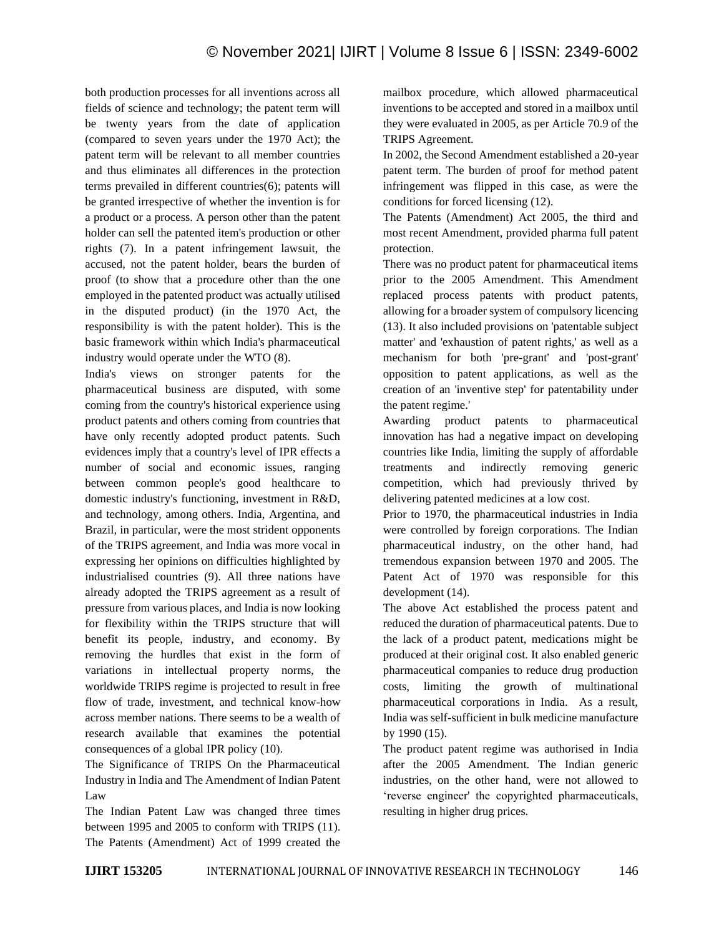both production processes for all inventions across all fields of science and technology; the patent term will be twenty years from the date of application (compared to seven years under the 1970 Act); the patent term will be relevant to all member countries and thus eliminates all differences in the protection terms prevailed in different countries(6); patents will be granted irrespective of whether the invention is for a product or a process. A person other than the patent holder can sell the patented item's production or other rights (7). In a patent infringement lawsuit, the accused, not the patent holder, bears the burden of proof (to show that a procedure other than the one employed in the patented product was actually utilised in the disputed product) (in the 1970 Act, the responsibility is with the patent holder). This is the basic framework within which India's pharmaceutical industry would operate under the WTO (8).

India's views on stronger patents for the pharmaceutical business are disputed, with some coming from the country's historical experience using product patents and others coming from countries that have only recently adopted product patents. Such evidences imply that a country's level of IPR effects a number of social and economic issues, ranging between common people's good healthcare to domestic industry's functioning, investment in R&D, and technology, among others. India, Argentina, and Brazil, in particular, were the most strident opponents of the TRIPS agreement, and India was more vocal in expressing her opinions on difficulties highlighted by industrialised countries (9). All three nations have already adopted the TRIPS agreement as a result of pressure from various places, and India is now looking for flexibility within the TRIPS structure that will benefit its people, industry, and economy. By removing the hurdles that exist in the form of variations in intellectual property norms, the worldwide TRIPS regime is projected to result in free flow of trade, investment, and technical know-how across member nations. There seems to be a wealth of research available that examines the potential consequences of a global IPR policy (10).

The Significance of TRIPS On the Pharmaceutical Industry in India and The Amendment of Indian Patent Law

The Indian Patent Law was changed three times between 1995 and 2005 to conform with TRIPS (11). The Patents (Amendment) Act of 1999 created the mailbox procedure, which allowed pharmaceutical inventions to be accepted and stored in a mailbox until they were evaluated in 2005, as per Article 70.9 of the TRIPS Agreement.

In 2002, the Second Amendment established a 20-year patent term. The burden of proof for method patent infringement was flipped in this case, as were the conditions for forced licensing (12).

The Patents (Amendment) Act 2005, the third and most recent Amendment, provided pharma full patent protection.

There was no product patent for pharmaceutical items prior to the 2005 Amendment. This Amendment replaced process patents with product patents, allowing for a broader system of compulsory licencing (13). It also included provisions on 'patentable subject matter' and 'exhaustion of patent rights,' as well as a mechanism for both 'pre-grant' and 'post-grant' opposition to patent applications, as well as the creation of an 'inventive step' for patentability under the patent regime.'

Awarding product patents to pharmaceutical innovation has had a negative impact on developing countries like India, limiting the supply of affordable treatments and indirectly removing generic competition, which had previously thrived by delivering patented medicines at a low cost.

Prior to 1970, the pharmaceutical industries in India were controlled by foreign corporations. The Indian pharmaceutical industry, on the other hand, had tremendous expansion between 1970 and 2005. The Patent Act of 1970 was responsible for this development (14).

The above Act established the process patent and reduced the duration of pharmaceutical patents. Due to the lack of a product patent, medications might be produced at their original cost. It also enabled generic pharmaceutical companies to reduce drug production costs, limiting the growth of multinational pharmaceutical corporations in India. As a result, India was self-sufficient in bulk medicine manufacture by 1990 (15).

The product patent regime was authorised in India after the 2005 Amendment. The Indian generic industries, on the other hand, were not allowed to 'reverse engineer' the copyrighted pharmaceuticals, resulting in higher drug prices.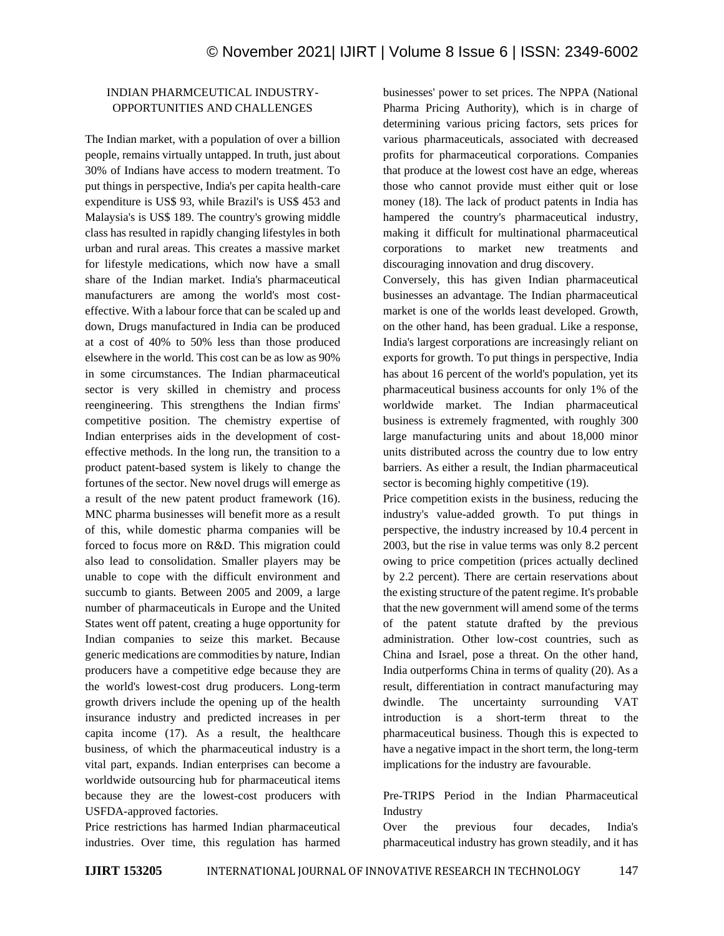## INDIAN PHARMCEUTICAL INDUSTRY-OPPORTUNITIES AND CHALLENGES

The Indian market, with a population of over a billion people, remains virtually untapped. In truth, just about 30% of Indians have access to modern treatment. To put things in perspective, India's per capita health-care expenditure is US\$ 93, while Brazil's is US\$ 453 and Malaysia's is US\$ 189. The country's growing middle class has resulted in rapidly changing lifestyles in both urban and rural areas. This creates a massive market for lifestyle medications, which now have a small share of the Indian market. India's pharmaceutical manufacturers are among the world's most costeffective. With a labour force that can be scaled up and down, Drugs manufactured in India can be produced at a cost of 40% to 50% less than those produced elsewhere in the world. This cost can be as low as 90% in some circumstances. The Indian pharmaceutical sector is very skilled in chemistry and process reengineering. This strengthens the Indian firms' competitive position. The chemistry expertise of Indian enterprises aids in the development of costeffective methods. In the long run, the transition to a product patent-based system is likely to change the fortunes of the sector. New novel drugs will emerge as a result of the new patent product framework (16). MNC pharma businesses will benefit more as a result of this, while domestic pharma companies will be forced to focus more on R&D. This migration could also lead to consolidation. Smaller players may be unable to cope with the difficult environment and succumb to giants. Between 2005 and 2009, a large number of pharmaceuticals in Europe and the United States went off patent, creating a huge opportunity for Indian companies to seize this market. Because generic medications are commodities by nature, Indian producers have a competitive edge because they are the world's lowest-cost drug producers. Long-term growth drivers include the opening up of the health insurance industry and predicted increases in per capita income (17). As a result, the healthcare business, of which the pharmaceutical industry is a vital part, expands. Indian enterprises can become a worldwide outsourcing hub for pharmaceutical items because they are the lowest-cost producers with USFDA-approved factories.

Price restrictions has harmed Indian pharmaceutical industries. Over time, this regulation has harmed businesses' power to set prices. The NPPA (National Pharma Pricing Authority), which is in charge of determining various pricing factors, sets prices for various pharmaceuticals, associated with decreased profits for pharmaceutical corporations. Companies that produce at the lowest cost have an edge, whereas those who cannot provide must either quit or lose money (18). The lack of product patents in India has hampered the country's pharmaceutical industry, making it difficult for multinational pharmaceutical corporations to market new treatments and discouraging innovation and drug discovery.

Conversely, this has given Indian pharmaceutical businesses an advantage. The Indian pharmaceutical market is one of the worlds least developed. Growth, on the other hand, has been gradual. Like a response, India's largest corporations are increasingly reliant on exports for growth. To put things in perspective, India has about 16 percent of the world's population, yet its pharmaceutical business accounts for only 1% of the worldwide market. The Indian pharmaceutical business is extremely fragmented, with roughly 300 large manufacturing units and about 18,000 minor units distributed across the country due to low entry barriers. As either a result, the Indian pharmaceutical sector is becoming highly competitive (19).

Price competition exists in the business, reducing the industry's value-added growth. To put things in perspective, the industry increased by 10.4 percent in 2003, but the rise in value terms was only 8.2 percent owing to price competition (prices actually declined by 2.2 percent). There are certain reservations about the existing structure of the patent regime. It's probable that the new government will amend some of the terms of the patent statute drafted by the previous administration. Other low-cost countries, such as China and Israel, pose a threat. On the other hand, India outperforms China in terms of quality (20). As a result, differentiation in contract manufacturing may dwindle. The uncertainty surrounding VAT introduction is a short-term threat to the pharmaceutical business. Though this is expected to have a negative impact in the short term, the long-term implications for the industry are favourable.

Pre-TRIPS Period in the Indian Pharmaceutical Industry

Over the previous four decades, India's pharmaceutical industry has grown steadily, and it has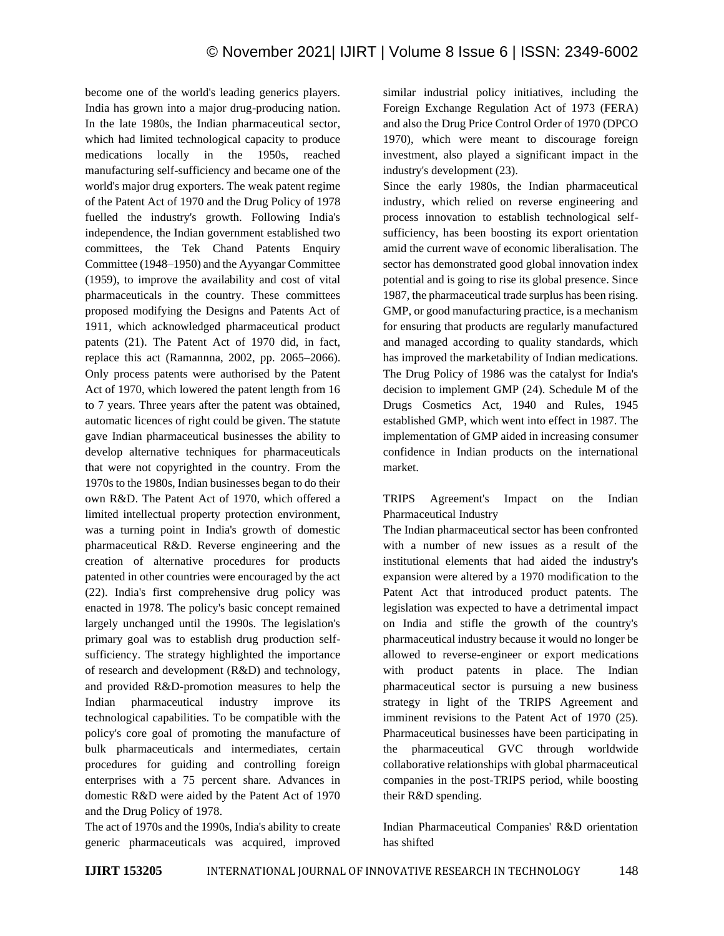become one of the world's leading generics players. India has grown into a major drug-producing nation. In the late 1980s, the Indian pharmaceutical sector, which had limited technological capacity to produce medications locally in the 1950s, reached manufacturing self-sufficiency and became one of the world's major drug exporters. The weak patent regime of the Patent Act of 1970 and the Drug Policy of 1978 fuelled the industry's growth. Following India's independence, the Indian government established two committees, the Tek Chand Patents Enquiry Committee (1948–1950) and the Ayyangar Committee (1959), to improve the availability and cost of vital pharmaceuticals in the country. These committees proposed modifying the Designs and Patents Act of 1911, which acknowledged pharmaceutical product patents (21). The Patent Act of 1970 did, in fact, replace this act (Ramannna, 2002, pp. 2065–2066). Only process patents were authorised by the Patent Act of 1970, which lowered the patent length from 16 to 7 years. Three years after the patent was obtained, automatic licences of right could be given. The statute gave Indian pharmaceutical businesses the ability to develop alternative techniques for pharmaceuticals that were not copyrighted in the country. From the 1970s to the 1980s, Indian businesses began to do their own R&D. The Patent Act of 1970, which offered a limited intellectual property protection environment, was a turning point in India's growth of domestic pharmaceutical R&D. Reverse engineering and the creation of alternative procedures for products patented in other countries were encouraged by the act (22). India's first comprehensive drug policy was enacted in 1978. The policy's basic concept remained largely unchanged until the 1990s. The legislation's primary goal was to establish drug production selfsufficiency. The strategy highlighted the importance of research and development (R&D) and technology, and provided R&D-promotion measures to help the Indian pharmaceutical industry improve its technological capabilities. To be compatible with the policy's core goal of promoting the manufacture of bulk pharmaceuticals and intermediates, certain procedures for guiding and controlling foreign enterprises with a 75 percent share. Advances in domestic R&D were aided by the Patent Act of 1970 and the Drug Policy of 1978.

The act of 1970s and the 1990s, India's ability to create generic pharmaceuticals was acquired, improved similar industrial policy initiatives, including the Foreign Exchange Regulation Act of 1973 (FERA) and also the Drug Price Control Order of 1970 (DPCO 1970), which were meant to discourage foreign investment, also played a significant impact in the industry's development (23).

Since the early 1980s, the Indian pharmaceutical industry, which relied on reverse engineering and process innovation to establish technological selfsufficiency, has been boosting its export orientation amid the current wave of economic liberalisation. The sector has demonstrated good global innovation index potential and is going to rise its global presence. Since 1987, the pharmaceutical trade surplus has been rising. GMP, or good manufacturing practice, is a mechanism for ensuring that products are regularly manufactured and managed according to quality standards, which has improved the marketability of Indian medications. The Drug Policy of 1986 was the catalyst for India's decision to implement GMP (24). Schedule M of the Drugs Cosmetics Act, 1940 and Rules, 1945 established GMP, which went into effect in 1987. The implementation of GMP aided in increasing consumer confidence in Indian products on the international market.

TRIPS Agreement's Impact on the Indian Pharmaceutical Industry

The Indian pharmaceutical sector has been confronted with a number of new issues as a result of the institutional elements that had aided the industry's expansion were altered by a 1970 modification to the Patent Act that introduced product patents. The legislation was expected to have a detrimental impact on India and stifle the growth of the country's pharmaceutical industry because it would no longer be allowed to reverse-engineer or export medications with product patents in place. The Indian pharmaceutical sector is pursuing a new business strategy in light of the TRIPS Agreement and imminent revisions to the Patent Act of 1970 (25). Pharmaceutical businesses have been participating in the pharmaceutical GVC through worldwide collaborative relationships with global pharmaceutical companies in the post-TRIPS period, while boosting their R&D spending.

Indian Pharmaceutical Companies' R&D orientation has shifted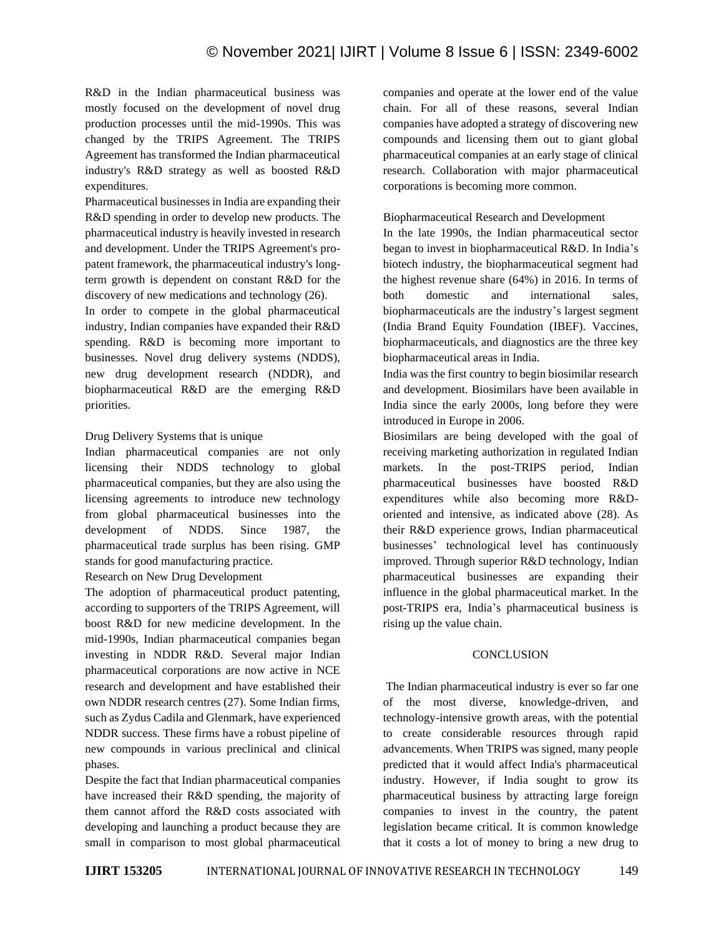R&D in the Indian pharmaceutical business was mostly focused on the development of novel drug production processes until the mid-1990s. This was changed by the TRIPS Agreement. The TRIPS Agreement has transformed the Indian pharmaceutical industry's R&D strategy as well as boosted R&D expenditures.

Pharmaceutical businesses in India are expanding their R&D spending in order to develop new products. The pharmaceutical industry is heavily invested in research and development. Under the TRIPS Agreement's propatent framework, the pharmaceutical industry's longterm growth is dependent on constant R&D for the discovery of new medications and technology (26).

In order to compete in the global pharmaceutical industry, Indian companies have expanded their R&D spending. R&D is becoming more important to businesses. Novel drug delivery systems (NDDS), new drug development research (NDDR), and biopharmaceutical R&D are the emerging R&D priorities.

#### Drug Delivery Systems that is unique

Indian pharmaceutical companies are not only licensing their NDDS technology to global pharmaceutical companies, but they are also using the licensing agreements to introduce new technology from global pharmaceutical businesses into the development of NDDS. Since 1987, the pharmaceutical trade surplus has been rising. GMP stands for good manufacturing practice.

#### Research on New Drug Development

The adoption of pharmaceutical product patenting, according to supporters of the TRIPS Agreement, will boost R&D for new medicine development. In the mid-1990s, Indian pharmaceutical companies began investing in NDDR R&D. Several major Indian pharmaceutical corporations are now active in NCE research and development and have established their own NDDR research centres (27). Some Indian firms, such as Zydus Cadila and Glenmark, have experienced NDDR success. These firms have a robust pipeline of new compounds in various preclinical and clinical phases.

Despite the fact that Indian pharmaceutical companies have increased their R&D spending, the majority of them cannot afford the R&D costs associated with developing and launching a product because they are small in comparison to most global pharmaceutical companies and operate at the lower end of the value chain. For all of these reasons, several Indian companies have adopted a strategy of discovering new compounds and licensing them out to giant global pharmaceutical companies at an early stage of clinical research. Collaboration with major pharmaceutical corporations is becoming more common.

#### Biopharmaceutical Research and Development

In the late 1990s, the Indian pharmaceutical sector began to invest in biopharmaceutical R&D. In India's biotech industry, the biopharmaceutical segment had the highest revenue share (64%) in 2016. In terms of both domestic and international sales, biopharmaceuticals are the industry's largest segment (India Brand Equity Foundation (IBEF). Vaccines, biopharmaceuticals, and diagnostics are the three key biopharmaceutical areas in India.

India was the first country to begin biosimilar research and development. Biosimilars have been available in India since the early 2000s, long before they were introduced in Europe in 2006.

Biosimilars are being developed with the goal of receiving marketing authorization in regulated Indian markets. In the post-TRIPS period, Indian pharmaceutical businesses have boosted R&D expenditures while also becoming more R&Doriented and intensive, as indicated above (28). As their R&D experience grows, Indian pharmaceutical businesses' technological level has continuously improved. Through superior R&D technology, Indian pharmaceutical businesses are expanding their influence in the global pharmaceutical market. In the post-TRIPS era, India's pharmaceutical business is rising up the value chain.

#### **CONCLUSION**

The Indian pharmaceutical industry is ever so far one of the most diverse, knowledge-driven, technology-intensive growth areas, with the potential to create considerable resources through rapid advancements. When TRIPS was signed, many people predicted that it would affect India's pharmaceutical industry. However, if India sought to grow its pharmaceutical business by attracting large foreign companies to invest in the country, the patent legislation became critical. It is common knowledge that it costs a lot of money to bring a new drug to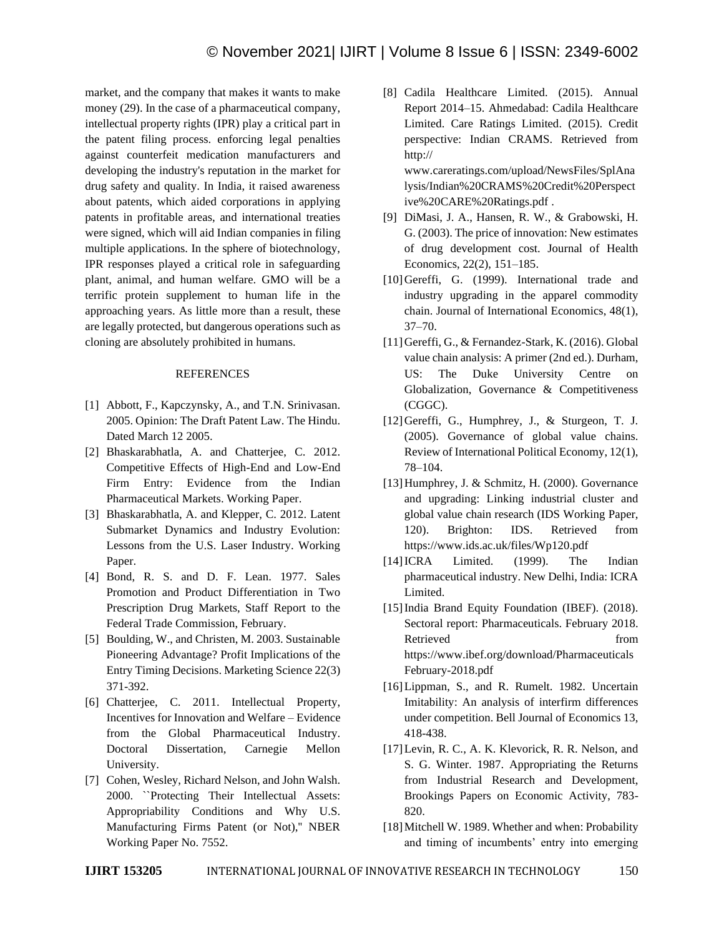market, and the company that makes it wants to make money (29). In the case of a pharmaceutical company, intellectual property rights (IPR) play a critical part in the patent filing process. enforcing legal penalties against counterfeit medication manufacturers and developing the industry's reputation in the market for drug safety and quality. In India, it raised awareness about patents, which aided corporations in applying patents in profitable areas, and international treaties were signed, which will aid Indian companies in filing multiple applications. In the sphere of biotechnology, IPR responses played a critical role in safeguarding plant, animal, and human welfare. GMO will be a terrific protein supplement to human life in the approaching years. As little more than a result, these are legally protected, but dangerous operations such as cloning are absolutely prohibited in humans.

#### REFERENCES

- [1] Abbott, F., Kapczynsky, A., and T.N. Srinivasan. 2005. Opinion: The Draft Patent Law. The Hindu. Dated March 12 2005.
- [2] Bhaskarabhatla, A. and Chatterjee, C. 2012. Competitive Effects of High-End and Low-End Firm Entry: Evidence from the Indian Pharmaceutical Markets. Working Paper.
- [3] Bhaskarabhatla, A. and Klepper, C. 2012. Latent Submarket Dynamics and Industry Evolution: Lessons from the U.S. Laser Industry. Working Paper.
- [4] Bond, R. S. and D. F. Lean. 1977. Sales Promotion and Product Differentiation in Two Prescription Drug Markets, Staff Report to the Federal Trade Commission, February.
- [5] Boulding, W., and Christen, M. 2003. Sustainable Pioneering Advantage? Profit Implications of the Entry Timing Decisions. Marketing Science 22(3) 371-392.
- [6] Chatterjee, C. 2011. Intellectual Property, Incentives for Innovation and Welfare – Evidence from the Global Pharmaceutical Industry. Doctoral Dissertation, Carnegie Mellon University.
- [7] Cohen, Wesley, Richard Nelson, and John Walsh. 2000. ``Protecting Their Intellectual Assets: Appropriability Conditions and Why U.S. Manufacturing Firms Patent (or Not),'' NBER Working Paper No. 7552.

[8] Cadila Healthcare Limited. (2015). Annual Report 2014–15. Ahmedabad: Cadila Healthcare Limited. Care Ratings Limited. (2015). Credit perspective: Indian CRAMS. Retrieved from http:// www.careratings.com/upload/NewsFiles/SplAna

lysis/Indian%20CRAMS%20Credit%20Perspect ive%20CARE%20Ratings.pdf .

- [9] DiMasi, J. A., Hansen, R. W., & Grabowski, H. G. (2003). The price of innovation: New estimates of drug development cost. Journal of Health Economics, 22(2), 151–185.
- [10] Gereffi, G. (1999). International trade and industry upgrading in the apparel commodity chain. Journal of International Economics, 48(1), 37–70.
- [11]Gereffi, G., & Fernandez-Stark, K. (2016). Global value chain analysis: A primer (2nd ed.). Durham, US: The Duke University Centre Globalization, Governance & Competitiveness (CGGC).
- [12]Gereffi, G., Humphrey, J., & Sturgeon, T. J. (2005). Governance of global value chains. Review of International Political Economy, 12(1), 78–104.
- [13] Humphrey, J. & Schmitz, H. (2000). Governance and upgrading: Linking industrial cluster and global value chain research (IDS Working Paper, 120). Brighton: IDS. Retrieved from https://www.ids.ac.uk/files/Wp120.pdf
- [14]ICRA Limited. (1999). The Indian pharmaceutical industry. New Delhi, India: ICRA Limited.
- [15]India Brand Equity Foundation (IBEF). (2018). Sectoral report: Pharmaceuticals. February 2018. Retrieved from from https://www.ibef.org/download/Pharmaceuticals February-2018.pdf
- [16] Lippman, S., and R. Rumelt. 1982. Uncertain Imitability: An analysis of interfirm differences under competition. Bell Journal of Economics 13, 418-438.
- [17] Levin, R. C., A. K. Klevorick, R. R. Nelson, and S. G. Winter. 1987. Appropriating the Returns from Industrial Research and Development, Brookings Papers on Economic Activity, 783- 820.
- [18] Mitchell W. 1989. Whether and when: Probability and timing of incumbents' entry into emerging